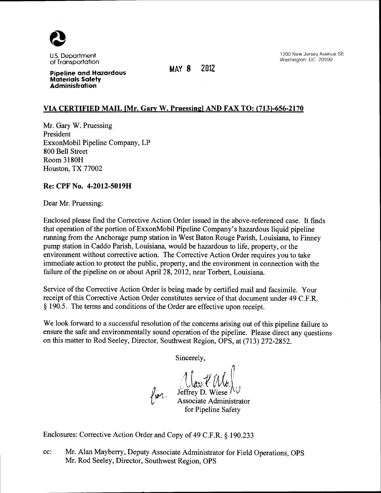

U.S. Department of Transportation

**MAY** *8 2012* 

1200 New Jersey Avenue SE Washington, DC 20590

**Pipeline and Hazardous Materials Safety Administration** 

## **VIA CERTIFIED MAIL [Mr. Gary W. Pruessingl AND FAX TO: (713)-656-2170**

Mr. Gary W. Pruessing President ExxonMobil Pipeline Company, LP 800 Bell Street Room 3180H Houston, TX 77002

### **Re: CPF No. 4-2012-5019H**

Dear Mr. Pruessing:

Enclosed please find the Corrective Action Order issued in the above-referenced case. It finds that operation of the portion of ExxonMobil Pipeline Company's hazardous liquid pipeline running from the Anchorage pump station in West Baton Rouge Parish, Louisiana, to Finney pump station in Caddo Parish, Louisiana, would be hazardous to life, property, or the environment without corrective action. The Corrective Action Order requires you to take immediate action to protect the public, property, and the environment in connection with the failure of the pipeline on or about April28, 2012, near Torbert, Louisiana.

Service of the Corrective Action Order is being made by certified mail and facsimile. Your receipt of this Corrective Action Order constitutes service of that document under 49 C.F.R. § 190.5. The terms and conditions of the Order are effective upon receipt.

We look forward to a successful resolution of the concerns arising out of this pipeline failure to ensure the safe and environmentally sound operation of the pipeline. Please direct any questions on this matter to Rod Seeley, Director, Southwest Region, OPS, at (713) 272-2852.

Sincerely,

 $11$  *<u>I</u>*  $\cdot$  1 Uter (We)<br>Jeffrey D. Wiese IV

Associate Administrator for Pipeline Safety

Enclosures: Corrective Action Order and Copy of 49 C.F.R. § 190.233

cc: Mr. Alan Mayberry, Deputy Associate Administrator for Field Operations, OPS Mr. Rod Seeley, Director, Southwest Region, OPS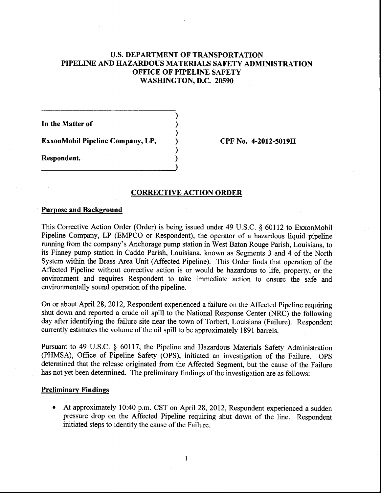# U.S. **DEPARTMENT OF TRANSPORTATION PIPELINE AND HAZARDOUS MATERIALS SAFETY ADMINISTRATION OFFICE OF PIPELINE SAFETY WASHINGTON, D.C. 20590**

) ) ) ) ) )

**In the Matter of** 

**ExxonMobil Pipeline Company, LP,** 

**Respondent.** 

**CPF** No. **4-2012-5019H** 

#### **CORRECTIVE ACTION ORDER**

#### **Purpose and Background**

This Corrective Action Order (Order) is being issued under 49 U.S.C. § 60112 to ExxonMobil Pipeline Company, LP (EMPCO or Respondent), the operator of a hazardous liquid pipeline running from the company's Anchorage pump station in West Baton Rouge Parish, Louisiana, to its Finney pump station in Caddo Parish, Louisiana, known as Segments 3 and 4 of the North System within the Brass Area Unit (Affected Pipeline). This Order finds that operation of the Affected Pipeline without corrective action is or would be hazardous to life, property, or the environment and requires Respondent to take immediate action to ensure the safe and environmentally sound operation of the pipeline.

On or about April 28, 2012, Respondent experienced a failure on the Affected Pipeline requiring shut down and reported a crude oil spill to the National Response Center (NRC) the following day after identifying the failure site near the town of Torbert, Louisiana (Failure). Respondent currently estimates the volume of the oil spill to be approximately 1891 barrels.

Pursuant to 49 U.S.C. § 60117, the Pipeline and Hazardous Materials Safety Administration (PHMSA), Office of Pipeline Safety (OPS), initiated an investigation of the Failure. OPS determined that the release originated from the Affected Segment, but the cause of the Failure has not yet been determined. The preliminary findings of the investigation are as follows:

#### **Preliminary Findings**

• At approximately 10:40 p.m. CST on April 28, 2012, Respondent experienced a sudden pressure drop on the Affected Pipeline requiring shut down of the line. Respondent initiated steps to identify the cause of the Failure.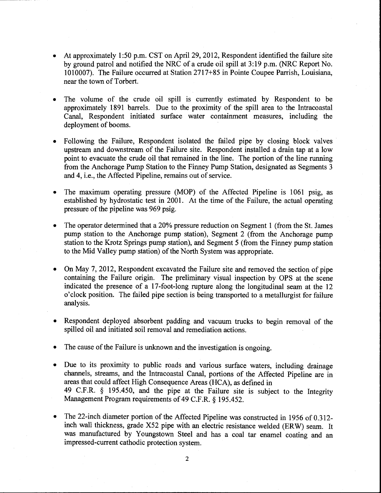- At approximately 1:50 p.m. CST on April 29, 2012, Respondent identified the failure site by ground patrol and notified the NRC of a crude oil spill at 3:19 p.m. (NRC Report No. 1010007). The Failure occurred at Station 2717+85 in Pointe Coupee Parrish, Louisiana, near the town of Torbert.
- The volume of the crude oil spill is currently estimated by Respondent to be approximately 1891 barrels. Due to the proximity of the spill area to the Intracoastal Canal, Respondent initiated surface water containment measures, including the deployment of booms.
- Following the Failure, Respondent isolated the failed pipe by closing block valves upstream and downstream of the Failure site. Respondent installed a drain tap at a low point to evacuate the crude oil that remained in the line. The portion of the line running from the Anchorage Pump Station to the Finney Pump Station, designated as Segments 3 and 4, i.e., the Affected Pipeline, remains out of service.
- The maximum operating pressure (MOP) of the Affected Pipeline is 1061 psig, as established by hydrostatic test in 2001. At the time of the Failure, the actual operating pressure of the pipeline was 969 psig.
- The operator determined that a 20% pressure reduction on Segment 1 (from the St. James pump station to the Anchorage pump station), Segment 2 (from the Anchorage pump station to the Krotz Springs pump station), and Segment 5 (from the Finney pump station to the Mid Valley pump station) of the North System was appropriate.
- On May 7, 2012, Respondent excavated the Failure site and removed the section of pipe containing the Failure origin. The preliminary visual inspection by OPS at the scene indicated the presence of a 17-foot-long rupture along the longitudinal seam at the 12 o'clock position. The failed pipe section is being transported to a metallurgist for failure analysis.
- Respondent deployed absorbent padding and vacuum trucks to begin removal of the spilled oil and initiated soil removal and remediation actions.
- The cause of the Failure is unknown and the investigation is ongoing.
- Due to its proximity to public roads and various surface waters, including drainage channels, streams, and the Intracoastal Canal, portions of the Affected Pipeline are in areas that could affect High Consequence Areas (HCA), as defined in 49 C.F.R. § 195.450, and the pipe at the Failure site is subject to the Integrity Management Program requirements of 49 C.F.R. § 195.452.
- The 22-inch diameter portion of the Affected Pipeline was constructed in 1956 of 0.312inch wall thickness, grade X52 pipe with an electric resistance welded (ERW) seam. It was manufactured by Youngstown Steel and has a coal tar enamel coating and an impressed-current cathodic protection system.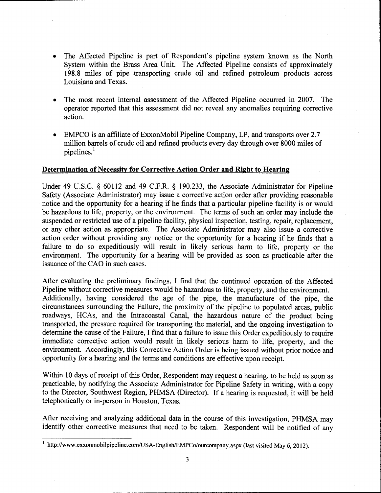- The Affected Pipeline is part of Respondent's pipeline system known as the North System within the Brass Area Unit. The Affected Pipeline consists of approximately 198.8 miles of pipe transporting crude oil and refined petroleum products across Louisiana and Texas.
- The most recent internal assessment of the Affected Pipeline occurred in 2007. The operator reported that this assessment did not reveal any anomalies requiring corrective action.
- EMPCO is an affiliate of ExxonMobil Pipeline Company, LP, and transports over 2.7 million barrels of crude oil and refined products every day through over 8000 miles of pipelines.<sup>1</sup>

## Determination of Necessity for Corrective Action Order and Right to Hearing

Under 49 U.S.C. § 60112 and 49 C.F.R. § 190.233, the Associate Administrator for Pipeline Safety (Associate Administrator) may issue a corrective action order after providing reasonable notice and the opportunity for a hearing if he finds that a particular pipeline facility is or would be hazardous to life, property, or the environment. The terms of such an order may include the suspended or restricted use of a pipeline facility, physical inspection, testing, repair, replacement, or any other action as appropriate. The Associate Administrator may also issue a corrective action order without providing any notice or the opportunity for a hearing if he finds that a failure to do so expeditiously will result in likely serious harm to life, property or the environment. The opportunity for a hearing will be provided as soon as practicable after the issuance of the CAO in such cases.

After evaluating the preliminary findings, I find that the continued operation of the Affected Pipeline without corrective measures would be hazardous to life, property, and the environment. Additionally, having considered the age of the pipe, the manufacture of the pipe, the circumstances surrounding the Failure, the proximity of the pipeline to populated areas, public roadways, HCAs, and the Intracoastal Canal, the hazardous nature of the product being transported, the pressure required for transporting the material, and the ongoing investigation to determine the cause of the Failure, I find that a failure to issue this Order expeditiously to require immediate corrective action would result in likely serious harm to life, property, and the environment. Accordingly, this Corrective Action Order is being issued without prior notice and opportunity for a hearing and the terms and conditions are effective upon receipt.

Within 10 days of receipt of this Order, Respondent may request a hearing, to be held as soon as practicable, by notifying the Associate Administrator for Pipeline Safety in writing, with a copy to the Director, Southwest Region, PHMSA (Director). If a hearing is requested, it will be held telephonically or in-person in Houston, Texas.

After receiving and analyzing additional data in the course of this investigation, PHMSA may identify other corrective measures that need to be taken. Respondent will be notified of any

<sup>1</sup> http://www.exxonmobilpipeline.com/USA-English/EMPCo/ourcompany.aspx (last visited May 6, 2012).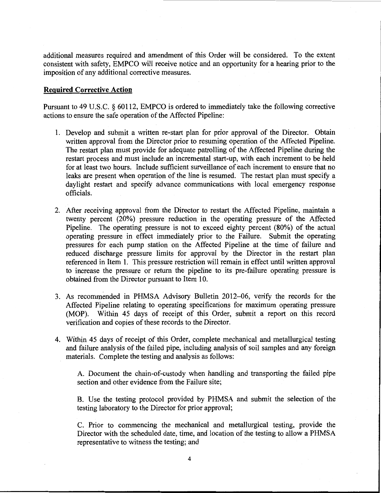additional measures required and amendment of this Order will be considered. To the extent consistent with safety, EMPCO will receive notice and an opportunity for a hearing prior to the imposition of any additional corrective measures.

## **Required Corrective Action**

Pursuant to 49 U.S.C. § 60112, EMPCO is ordered to immediately take the following corrective actions to ensure the safe operation of the Affected Pipeline:

- 1. Develop and submit a written re-start plan for prior approval of the Director. Obtain written approval from the Director prior to resuming operation of the Affected Pipeline. The restart plan must provide for adequate patrolling of the Affected Pipeline during the restart process and must include an incremental start-up, with each increment to be held for at least two hours. Include sufficient surveillance of each increment to ensure that no leaks are present when operation of the line is resumed. The restart plan must specify a daylight restart and specify advance communications with local emergency response officials.
- 2. After receiving approval from the Director to restart the Affected Pipeline, maintain a twenty percent (20%) pressure reduction in the operating pressure of the Affected Pipeline. The operating pressure is not to exceed eighty percent (80%) of the actual operating pressure in effect immediately prior to the Failure. Submit the operating pressures for each pump station on the Affected Pipeline at the time of failure and reduced discharge pressure limits for approval by the Director in the restart plan referenced in Item 1. This pressure restriction will remain in effect until written approval to increase the pressure or return the pipeline to its pre-failure operating pressure is obtained from the Director pursuant to Item 10.
- 3. As recommended in PHMSA Advisory Bulletin 2012-06, verify the records for the Affected Pipeline relating to operating specifications for maximum operating pressure (MOP). Within 45 days of receipt of this Order, submit a report on this record verification and copies of these records to the Director.
- 4. Within 45 days of receipt of this Order, complete mechanical and metallurgical testing and failure analysis of the failed pipe, including analysis of soil samples and any foreign materials. Complete the testing and analysis as follows:

A. Document the chain-of-custody when handling and transporting the failed pipe section and other evidence from the Failure site;

B. Use the testing protocol provided by PHMSA and submit the selection of the testing laboratory to the Director for prior approval;

C. Prior to commencing the mechanical and metallurgical testing, provide the Director with the scheduled date, time, and location of the testing to allow a PHMSA representative to witness the testing; and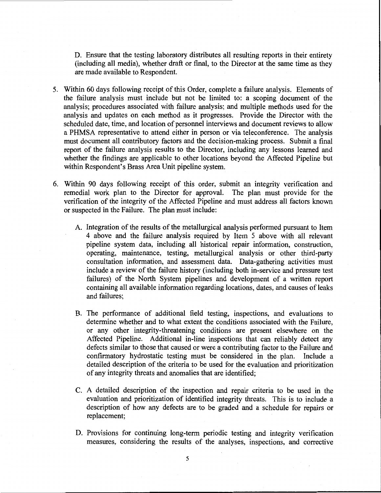D. Ensure that the testing laboratory distributes all resulting reports in their entirety (including all media), whether draft or final, to the Director at the same time as they are made available to Respondent.

- 5. Within 60 days following receipt of this Order, complete a failure analysis. Elements of the failure analysis must include but not be limited to: a scoping document of the analysis; procedures associated with failure analysis; and multiple methods used for the analysis and updates on each method as it progresses. Provide the Director with the scheduled date, time, and location of personnel interviews and document reviews to allow a PHMSA representative to attend either in person or via teleconference. The analysis must document all contributory factors and the decision-making process. Submit a final report of the failure analysis results to the Director, including any lessons learned and whether the findings are applicable to other locations beyond the Affected Pipeline but within Respondent's Brass Area Unit pipeline system.
- 6. Within 90 days following receipt of this order, submit an integrity verification and remedial work plan to the Director for approval. The plan must provide for the verification of the integrity of the Affected Pipeline and must address all factors known or suspected in the Failure. The plan must include:
	- A. Integration of the results of the metallurgical analysis performed pursuant to Item 4 above and the failure analysis required by Item 5 above with all relevant pipeline system data, including all historical repair information, construction, operating, maintenance, testing, metallurgical analysis or other third~party consultation information, and assessment data. Data~gathering activities must include a review of the failure history (including both in~service and pressure test failures) of the North System pipelines and development of a written report containing all available information regarding locations, dates, and causes of leaks and failures;
	- B. The performance of additional field testing, inspections, and evaluations to determine whether and to what extent the conditions associated with the Failure, or any other integrity~threatening conditions are present elsewhere on the Affected Pipeline. Additional in-line inspections that can reliably detect any defects similar to those that caused or were a contributing factor to the Failure and confirmatory hydrostatic testing must be considered in the plan. Include a detailed description of the criteria to be used for the evaluation and prioritization of any integrity threats and anomalies that are identified;
	- C. A detailed description of the inspection and repair criteria to be used in the evaluation and prioritization of identified integrity threats. This is to include a description of how any defects are to be graded and a schedule for repairs or replacement;
	- D. Provisions for continuing long-term periodic testing and integrity verification measures, considering the results of the analyses, inspections, and corrective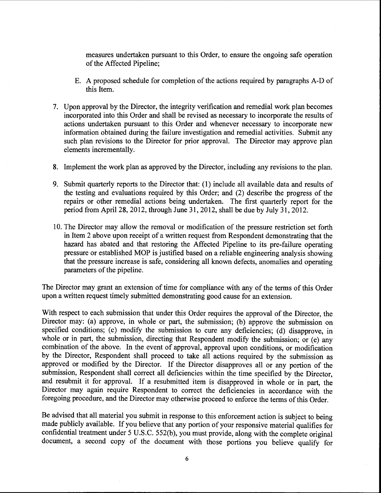measures undertaken pursuant to this Order, to ensure the ongoing safe operation of the Affected Pipeline;

- E. A proposed schedule for completion of the actions required by paragraphs A-D of this Item.
- 7. Upon approval by the Director, the integrity verification and remedial work plan becomes incorporated into this Order and shall be revised as necessary to incorporate the results of actions undertaken pursuant to this Order and whenever necessary to incorporate new information obtained during the failure investigation and remedial activities. Submit any such plan revisions to the Director for prior approval. The Director may approve plan elements incrementally.
- 8. Implement the work plan as approved by the Director, including any revisions to the plan.
- 9. Submit quarterly reports to the Director that: (1) include all available data and results of the testing and evaluations required by this Order; and (2) describe the progress of the repairs or other remedial actions being undertaken. The first quarterly report for the period from April28, 2012, through June 31, 2012, shall be due by July 31, 2012.
- 10. The Director may allow the removal or modification of the pressure restriction set forth in Item 2 above upon receipt of a written request from Respondent demonstrating that the hazard has abated and that restoring the Affected Pipeline to its pre-failure operating pressure or established MOP is justified based on a reliable engineering analysis showing that the pressure increase is safe, considering all known defects, anomalies and operating parameters of the pipeline.

The Director may grant an extension of time for compliance with any of the terms of this Order upon a written request timely submitted demonstrating good cause for an extension.

With respect to each submission that under this Order requires the approval of the Director, the Director may: (a) approve, in whole or part, the submission; (b) approve the submission on specified conditions; (c) modify the submission to cure any deficiencies; (d) disapprove, in whole or in part, the submission, directing that Respondent modify the submission; or (e) any combination of the above. In the event of approval, approval upon conditions, or modification by the Director, Respondent shall proceed to take all actions required by the submission as approved or modified by the Director. If the Director disapproves all or any portion of the submission, Respondent shall correct all deficiencies within the time specified by the Director, and resubmit it for approval. If a resubmitted item is disapproved in whole or in part, the Director may again require Respondent to correct the deficiencies in accordance with the foregoing procedure, and the Director may otherwise proceed to enforce the terms of this Order.

Be advised that all material you submit in response to this enforcement action is subject to being made publicly available. If you believe that any portion of your responsive material qualifies for confidential treatment under 5 U.S.C. 552(b), you must provide, along with the complete original document, a second copy of the document with those portions you believe qualify for

6